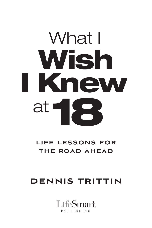# What I Wish I Knew at 18

### LIFE LESSONS FOR THE ROAD AHEAD

## DENNIS TRITTIN

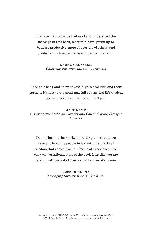If at age 18 most of us had read and understood the message in this book, we would have grown up to be more productive, more supportive of others, and yielded a much more positive impact on mankind.

> **George Russell,** *Chairman Emeritus, Russell Investments*

Read this book and share it with high school kids and their parents. It's fast to the point and full of practical life wisdom young people want, but often don't get.

**Jeff Kemp**

*former Seattle Seahawk, Founder and Chief Advocate, Stronger Families*

Dennis has hit the mark, addressing topics that are relevant to young people today with the practical wisdom that comes from a lifetime of experience. The easy, conversational style of the book feels like you are talking with your dad over a cup of coffee. Well done!

> **Joseph Helms** *Managing Director, Ronald Blue & Co.*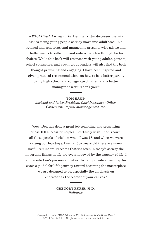In *What I Wish I Knew at 18*, Dennis Trittin discusses the vital issues facing young people as they move into adulthood. In a relaxed and conversational manner, he presents wise advice and challenges us to reflect on and redirect our life through better choices. While this book will resonate with young adults, parents, school counselors, and youth group leaders will also find the book thought provoking and engaging. I have been inspired and given practical recommendations on how to be a better parent to my high school and college age children and a better manager at work. Thank you!!!

#### **Tom Kamp***,*

*husband and father, President, Chief Investment Officer, Cornerstone Capital Mananagement, Inc.*

Wow! Den has done a great job compiling and presenting those 100 success principles. I certainly wish I had known all these pearls of wisdom when I was 18, and when we were raising our four boys. Even at 50+ years old there are many useful reminders. It seems that too often in today's society the important things in life are overshadowed by the urgency of life. I appreciate Den's passion and effort to help provide a roadmap (or coach's guide) for life's journey toward becoming the masterpiece we are designed to be, especially the emphasis on character as the "center of your canvas."

> **Gregory Rurik, M.D.***, Pediatrics*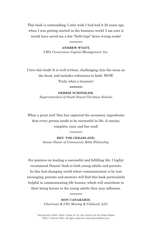This book is outstanding; I only wish I had had it 25 years ago, when I was getting started in the business world. I am sure it would have saved me a few "field trips" down wrong roads!

> **Andrew Wyatt,** *CEO, Cornerstone Capital Management, Inc.*

I love this book! It is well written, challenging, hits the issue on the head, and includes references to faith. WOW.

Truly, what a treasure!

**Debbie Schindler***, Superintendent of South Sound Christian Schools*

What a great tool! Den has captured the necessary ingredients that every person needs to be successful in life. A concise, complete, easy, and fun read!

> **Rev. Tim Cedarland***, Senior Pastor of Community Bible Fellowship*

For pointers on leading a successful and fulfilling life, I highly recommend Dennis' book to both young adults and parents. In this fast-changing world where communication is by text messaging, parents and mentors will find this book particularly helpful in communicating life lessons, which will contribute to their being heroes to the young adults they may influence.

> **Ron Canakaris***, Chairman & CIO, Montag & Caldwell, LLC*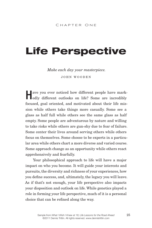## Life Perspective

*Make each day your masterpiece.* JOHN WOODEN

**Have you ever noticed how different people have markdedly** different outlooks on life? Some are incredibly focused, goal oriented, and motivated about their life mission while others take things more casually. Some see a glass as half full while others see the same glass as half empty. Some people are adventurous by nature and willing to take risks while others are gun-shy due to fear of failure. Some center their lives around serving others while others focus on themselves. Some choose to be experts in a particular area while others chart a more diverse and varied course. Some approach change as an opportunity while others react apprehensively and fearfully.

Your philosophical approach to life will have a major impact on who you become. It will guide your interests and pursuits, the diversity and richness of your experiences, how you define success, and, ultimately, the legacy you will leave. As if that's not enough, your life perspective also impacts your disposition and outlook on life. While genetics played a role in forming your life perspective, much of it is a personal choice that can be refined along the way.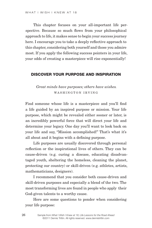This chapter focuses on your all-important life perspective. Because so much flows from your philosophical approach to life, it makes sense to begin your success journey here. I encourage you to take a deeply reflective approach to this chapter, considering both yourself and those you admire most. If you apply the following success pointers in your life, your odds of creating a masterpiece will rise exponentially!

#### Discover your purpose and inspiration

#### *Great minds have purposes; others have wishes.* WASHINGTON IRVING

Find someone whose life is a masterpiece and you'll find a life guided by an inspired purpose or mission. Your life purpose, which might be revealed either sooner or later, is an incredibly powerful force that will direct your life and determine your legacy. One day you'll want to look back on your life and say, "Mission accomplished!" That's what it's all about and it begins with a defining purpose.

Life purposes are usually discovered through personal reflection or the inspirational lives of others. They can be cause-driven (e.g. curing a disease, educating disadvantaged youth, sheltering the homeless, cleaning the planet, protecting our country) or skill-driven (e.g. athletes, artists, mathematicians, designers).

I recommend that you consider both cause-driven and skill-driven purposes and especially a blend of the two. The most transforming lives are found in people who apply their God-given talents to a worthy cause.

Here are some questions to ponder when considering your life purpose: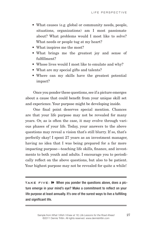- What causes (e.g. global or community needs, people, situations, organizations) am I most passionate about? What problems would I most like to solve? What needs or people tug at my heart?
- What inspires me the most?
- • What brings me the greatest joy and sense of fulfillment?
- Whose lives would I most like to emulate and why?
- What are my special gifts and talents?
- Where can my skills have the greatest potential impact?

Once you ponder these questions, see if a picture emerges about a cause that could benefit from your unique skill set and experience. Your purpose might be developing inside.

One final point deserves special mention. Chances are that your life purpose may not be revealed for many years. Or, as is often the case, it may evolve through various phases of your life. Today, your answers to the above questions may reveal a vision that's still blurry. If so, that's perfectly okay! I spent 27 years as an investment manager, having no idea that I was being prepared for a far more impacting purpose—teaching life skills, finance, and investments to both youth and adults. I encourage you to periodically reflect on the above questions, but also to be patient. Your highest purpose may not be revealed for quite a while!

**TAKE FIVE:**  $\rightarrow$  When you ponder the questions above, does a picture emerge in your mind's eye? Make a commitment to reflect on your life purpose at least annually. It's one of the surest ways to live a fulfilling and significant life.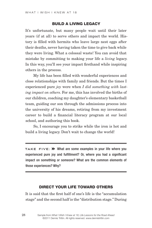#### Build a living legacy

It's unfortunate, but many people wait until their later years (if at all) to serve others and impact the world. History is filled with hermits who leave large nest eggs after their deaths, never having taken the time to give back while they were living. What a colossal waste! You can avoid that mistake by committing to making your life a *living* legacy. In this way, you'll see your impact firsthand while inspiring others in the process.

My life has been filled with wonderful experiences and close relationships with family and friends. But the times I experienced pure *joy* were when *I did something with lasting impact on others*. For me, this has involved the births of our children, coaching my daughter's elementary basketball team, guiding our son through the admissions process into the university of his dreams, retiring from my investment career to build a financial literacy program at our local school, and authoring this book.

So, I encourage you to strike while the iron is hot and build a living legacy. Don't wait to change the world!

**TAKE FIVE:**  $\rightarrow$  What are some examples in your life where you experienced pure joy and fulfillment? Or, where you had a significant impact on something or someone? What are the common elements of those experiences? Why?

#### Direct your life toward others

It is said that the first half of one's life is the "accumulation stage" and the second half is the "distribution stage." During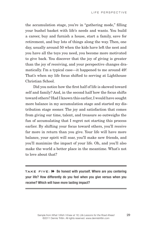the accumulation stage, you're in "gathering mode," filling your bushel basket with life's needs and wants. You build a career, buy and furnish a house, start a family, save for retirement, and buy lots of things along the way. Then, one day, usually around 50 when the kids have left the nest and you have all the toys you need, you become more motivated to give back. You discover that the joy of giving is greater than the joy of receiving, and your perspective changes dramatically. I'm a typical case—it happened to me around 49! That's when my life focus shifted to serving at Lighthouse Christian School.

Did you notice how the first half of life is skewed toward self and family? And, in the second half how the focus shifts toward others? Had I known this earlier, I would have sought more balance in my accumulation stage and started my distribution stage sooner. The joy and satisfaction that comes from giving our time, talent, and treasure so outweighs the fun of accumulating that I regret not starting this process earlier. By shifting your focus toward others, you'll receive far more in return than you give. Your life will have more balance, your spirit will soar, you'll make new friends, and you'll maximize the impact of your life. Oh, and you'll also make the world a better place in the meantime. What's not to love about that?

**TAKE FIVE:** >> Be honest with yourself. Where are you centering your life? How differently do you feel when you give versus when you receive? Which will have more lasting impact?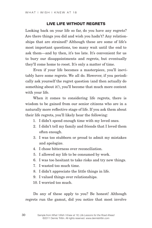#### Live life without regrets

Looking back on your life so far, do you have any regrets? Are there things you did and wish you hadn't? Any relationships that are strained? Although these are some of life's most important questions, too many wait until the end to ask them—and by then, it's too late. It's convenient for us to bury our disappointments and regrets, but eventually they'll come home to roost. It's only a matter of time.

Even if your life becomes a masterpiece, you'll inevitably have some regrets. We all do. However, if you periodically ask yourself the regret question (and then actually do something about it!), you'll become that much more content with your life.

When it comes to considering life regrets, there is wisdom to be gained from our senior citizens who are in a naturally more reflective stage of life. If you ask them about their life regrets, you'll likely hear the following:

- 1. I didn't spend enough time with my loved ones.
- 2. I didn't tell my family and friends that I loved them often enough.
- 3. I was too stubborn or proud to admit my mistakes and apologize.
- 4. I chose bitterness over reconciliation.
- 5. I allowed my life to be consumed by work.
- 6. I was too hesitant to take risks and try new things.
- 7. I wasted too much time.
- 8. I didn't appreciate the little things in life.
- 9. I valued things over relationships.
- 10. I worried too much.

Do any of these apply to you? Be honest! Although regrets run the gamut, did you notice that most involve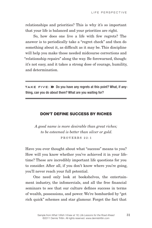relationships and priorities? This is why it's so important that your life is balanced and your priorities are right.

So, how does one live a life with few regrets? The answer is to periodically take a "regret check" and then do something about it, as difficult as it may be. This discipline will help you make those needed midcourse corrections and "relationship repairs" along the way. Be forewarned, though: it's not easy, and it takes a strong dose of courage, humility, and determination.

**TAKE FIVE:**  $\rightarrow$  Do you have any regrets at this point? What, if anything, can you do about them? What are you waiting for?

#### Don't define success by riches

*A good name is more desirable than great riches; to be esteemed is better than silver or gold.* PROVERBS 22:1

Have you ever thought about what "success" means to you? How will you know whether you've achieved it in your lifetime? These are incredibly important life questions for you to consider. After all, if you don't know where you're going, you'll never reach your full potential.

One need only look at bookshelves, the entertainment industry, the infomercials, and all the free financial seminars to see that our culture defines success in terms of wealth, possessions, and power. We're bombarded by "get rich quick" schemes and star glamour. Forget the fact that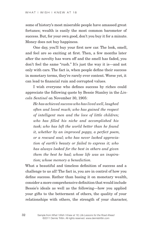some of history's most miserable people have amassed great fortunes; wealth is easily the most common barometer of success. But, for your own good, don't you buy it for a minute. Money does not buy happiness.

One day, you'll buy your first new car. The look, smell, and feel are so exciting at first. Then, a few months later after the novelty has worn off and the smell has faded, you don't feel the same "rush." It's just the way it is—and not only with cars. The fact is, when people define their success in monetary terms, they're rarely ever content. Worse yet, it can lead to financial ruin and corrupted values.

I wish everyone who defines success by riches could appreciate the following quote by Bessie Stanley in the *Lincoln Sentinel* on November 30, 1905:

*He has achieved success who has lived well, laughed often and loved much; who has gained the respect of intelligent men and the love of little children; who has filled his niche and accomplished his task; who has left the world better than he found it, whether by an improved poppy, a perfect poem, or a rescued soul; who has never lacked appreciation of earth's beauty or failed to express it; who has always looked for the best in others and given them the best he had; whose life was an inspiration; whose memory a benediction.* 

What a beautiful and timeless definition of success and a challenge to us all! The fact is, you are in control of how you define success. Rather than basing it on monetary wealth, consider a more comprehensive definition that would include Bessie's ideals as well as the following—how you applied your gifts to the betterment of others, the quality of your relationships with others, the strength of your character,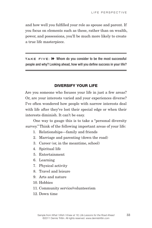and how well you fulfilled your role as spouse and parent. If you focus on elements such as these, rather than on wealth, power, and possessions, you'll be much more likely to create a true life masterpiece.

**TAKE FIVE:** >> Whom do you consider to be the most successful people and why? Looking ahead, how will you define success in your life?

#### Diversify your life

Are you someone who focuses your life in just a few areas? Or, are your interests varied and your experiences diverse? I've often wondered how people with narrow interests deal with life after they've lost their special edge or when their interests diminish. It can't be easy.

One way to gauge this is to take a "personal diversity survey." Think of the following important areas of your life:

- 1. Relationships—family and friends
- 2. Marriage and parenting (down the road)
- 3. Career (or, in the meantime, school)
- 4. Spiritual life
- 5. Entertainment
- 6. Learning
- 7. Physical activity
- 8. Travel and leisure
- 9. Arts and nature
- 10. Hobbies
- 11. Community service/volunteerism
- 12. Down time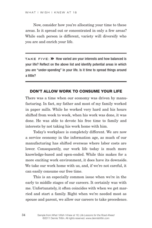Now, consider how you're allocating your time to these areas. Is it spread out or concentrated in only a few areas? While each person is different, variety will diversify who you are and enrich your life.

**TAKE FIVE:**  $\rightarrow$  How varied are your interests and how balanced is your life? Reflect on the above list and identify potential areas in which you are "under-spending" in your life. Is it time to spread things around a little?

#### Don't allow work to consume your life

There was a time when our economy was driven by manufacturing. In fact, my father and most of my family worked in paper mills. While he worked very hard and his hours shifted from week to week, when his work was done, it was done. He was able to devote his free time to family and interests by not taking his work home with him.

Today's workplace is completely different. We are now a service economy in the information age, as much of our manufacturing has shifted overseas where labor costs are lower. Consequently, our work life today is much more knowledge-based and open-ended. While this makes for a more exciting work environment, it does have its downside. We take our work home with us, and, if we're not careful, it can easily consume our free time.

This is an especially common issue when we're in the early to middle stages of our careers. It certainly was with me. Unfortunately, it often coincides with when we get married and start a family. Right when we're needed most as spouse and parent, we allow our careers to take precedence.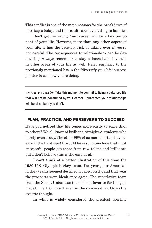This conflict is one of the main reasons for the breakdown of marriages today, and the results are devastating to families.

Don't get me wrong. Your career will be a key component of your life. However, more than any other aspect of your life, it has the greatest risk of taking over if you're not careful. The consequences to relationships can be devastating. Always remember to stay balanced and invested in other areas of your life as well. Refer regularly to the previously mentioned list in the "diversify your life" success pointer to see how you're doing.

**TAKE FIVE:**  $\triangleright$  Take this moment to commit to living a balanced life that will not be consumed by your career. I guarantee your relationships will be at stake if you don't.

#### Plan, practice, and persevere to succeed

Have you noticed that life comes more easily to some than to others? We all know of brilliant, straight-A students who barely even study. The other 99% of us mere mortals have to earn it the hard way! It would be easy to conclude that most successful people get there from raw talent and brilliance, but I don't believe this is the case at all.

I can't think of a better illustration of this than the 1980 U.S. Olympic hockey team. For years, our American hockey teams seemed destined for mediocrity, and that year the prospects were bleak once again. The superlative team from the Soviet Union was the odds-on favorite for the gold medal. The U.S. wasn't even in the conversation. Or, so the experts thought.

In what is widely considered the greatest sporting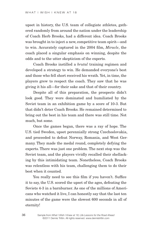upset in history, the U.S. team of collegiate athletes, gathered randomly from around the nation under the leadership of Coach Herb Brooks, had a different idea. Coach Brooks was brought in to inject a new, competitive team spirit—and to win. Accurately captured in the 2004 film, *Miracle*, the coach placed a singular emphasis on winning, despite the odds and to the utter skepticism of the experts.

Coach Brooks instilled a *brutal* training regimen and developed a strategy to win. He demanded everyone's best and those who fell short received his wrath. Yet, in time, the players grew to respect the coach. They saw that he was giving it his all—for their sake and that of their country.

Despite all of this preparation, the prospects didn't look good. They were dominated and humiliated by the Soviet team in an exhibition game by a score of 10-3. But that didn't deter Coach Brooks. He remained determined to bring out the best in his team and there was still time. Not much, but some.

Once the games began, there was a ray of hope. The U.S. tied Sweden, upset perennially strong Czechoslovakia, and proceeded to defeat Norway, Romania, and West Germany. They made the medal round, completely defying the experts. There was just one problem. The next stop was the Soviet team, and the players vividly recalled their shellacking by this intimidating team. Nonetheless, Coach Brooks was relentless with his team, challenging them to do their best when it counted.

You really need to see this film if you haven't. Suffice it to say, the U.S. scored the upset of the ages, defeating the Soviets 4-3 in a barnburner. As one of the millions of Americans who watched it live, I can honestly say that the last ten minutes of the game were the slowest 600 seconds in all of eternity!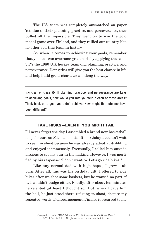The U.S. team was completely outmatched on paper. Yet, due to their planning, practice, and perseverance, they pulled off the impossible. They went on to win the gold medal game over Finland, and they rallied our country like no other sporting team in history.

So, when it comes to achieving your goals, remember that you, too, can overcome great odds by applying the same 3 P's the 1980 U.S. hockey team did: planning, practice, and perseverance. Doing this will give you the best chance in life and help build great character all along the way.

**Take Five:** M If planning, practice, and perseverance are keys to achieving goals, how would you rate yourself in each of these areas? Think back on a goal you didn't achieve. How might the outcome have been different?

#### Take risks—even if you might fail

I'll never forget the day I assembled a brand new basketball hoop for our son Michael on his fifth birthday. I couldn't wait to see him shoot because he was already adept at dribbling and enjoyed it immensely. Eventually, I called him outside, anxious to see my star in the making. However, I was mortified by his response: "I don't want to. Let's go ride bikes!"

Like any normal dad with high hopes, I grew stubborn. After all, this was his birthday gift! I offered to ride bikes after we shot some baskets, but he wanted no part of it. I wouldn't budge either. Finally, after about ten minutes, he relented (at least I thought so). But, when I gave him the ball, he just stood there refusing to shoot, despite my repeated words of encouragement. Finally, it occurred to me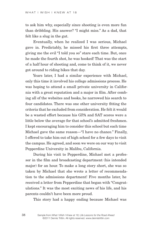to ask him why, especially since shooting is even more fun than dribbling. His answer? "I might miss." As a dad, that felt like a slug in the gut.

Eventually, when he realized I was serious, Michael gave in. Predictably, he missed his first three attempts, giving me the evil "I told you so" stare each time. But, once he made the fourth shot, he was hooked! That was the start of a half hour of shooting and, come to think of it, we never got around to riding bikes that day.

Years later, I had a similar experience with Michael, only this time it involved his college admissions process. He was hoping to attend a small private university in California with a great reputation and a major in film. After combing all of the websites and books, he narrowed his search to four candidates. There was one other university fitting the criteria that he excluded from consideration. He felt it would be a wasted effort because his GPA and SAT scores were a little below the average for that school's admitted freshmen. I kept encouraging him to consider this school but each time Michael gave the same reason—"I have no chance." Finally, I offered to take him out of high school for a few days to visit the campus. He agreed, and soon we were on our way to visit Pepperdine University in Malibu, California.

During his visit to Pepperdine, Michael met a professor in the film and broadcasting department (his intended major) for an hour. To make a long story short, she was so taken by Michael that she wrote a letter of recommendation to the admissions department! Five months later, he received a letter from Pepperdine that began with "Congratulations." It was the most exciting news of his life, and his parents couldn't have been more proud.

This story had a happy ending because Michael was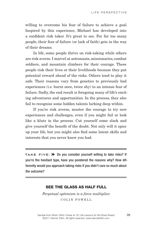willing to overcome his fear of failure to achieve a goal. Inspired by this experience, Michael has developed into a confident risk taker. It's great to see. For far too many people, their fear of failure (or lack of faith) gets in the way of their dreams.

In life, some people thrive on risk-taking while others are risk averse. I marvel at astronauts, missionaries, combat soldiers, and mountain climbers for their courage. These people risk their lives or their livelihoods because they put potential reward ahead of the risks. Others tend to play it safe. Their reasons vary from genetics to previously bad experiences (i.e. burnt once, twice shy) to an intense fear of failure. Sadly, the end result is foregoing many of life's exciting adventures and opportunities. In the process, they also fail to recognize some hidden talents lurking deep within.

If you're risk averse, muster the courage to try new experiences and challenges, even if you might fail or look like a klutz in the process. Cut yourself some slack and give yourself the benefit of the doubt. Not only will it spice up your life, but you might also find some latent skills and interests that you never knew you had.

TAKE FIVE: >> Do you consider yourself willing to take risks? If you're the hesitant type, have you pondered the reasons why? How differently would you approach taking risks if you didn't care so much about the outcome?

#### See the glass as half full

*Perpetual optimism is a force multiplier.* COLIN POWELL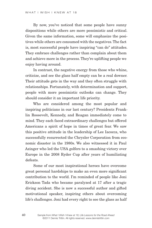By now, you've noticed that some people have sunny dispositions while others are more pessimistic and critical. Given the same information, some will emphasize the positives while others are consumed with the negatives. The fact is, most successful people have inspiring "can do" attitudes. They embrace challenges rather than complain about them and achieve more in the process. They're uplifting people we enjoy having around.

In contrast, the negative energy from those who whine, criticize, and see the glass half empty can be a real downer. Their attitude gets in the way and they often struggle with relationships. Fortunately, with determination and support, people with more pessimistic outlooks can change. They should consider it an important life priority.

Who are considered among the most popular and inspiring politicians in our last century? Presidents Franklin Roosevelt, Kennedy, and Reagan immediately come to mind. They each faced extraordinary challenges but offered Americans a spirit of hope in times of great fear. We saw this positive attitude in the leadership of Lee Iacocca, who successfully resurrected the Chrysler Corporation from economic disaster in the 1980s. We also witnessed it in Paul Azinger who led the USA golfers to a smashing victory over Europe in the 2008 Ryder Cup after years of humiliating defeats.

Some of our most inspirational heroes have overcome great personal hardships to make an even more significant contribution to the world. I'm reminded of people like Joni Erickson Tada who became paralyzed at 17 after a tragic diving accident. She is now a successful author and gifted motivational speaker, inspiring others about overcoming life's challenges. Joni had every right to see the glass as half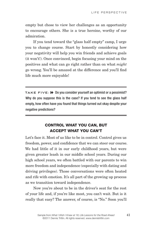empty but chose to view her challenges as an opportunity to encourage others. She is a true heroine, worthy of our admiration.

If you tend toward the "glass half empty" camp, I urge you to change course. Start by honestly considering how your negativity will help you win friends and achieve goals (it won't!). Once convinced, begin focusing your mind on the positives and what can go right rather than on what *might*  go wrong. You'll be amazed at the difference and you'll find life much more enjoyable!

**Take Five:** M Do you consider yourself an optimist or a pessimist? Why do you suppose this is the case? If you tend to see the glass half empty, how often have you found that things turned out okay despite your negative predictions?

#### **CONTROL WHAT YOU CAN. BUT** accept what you can't

Let's face it. Most of us like to be in control. Control gives us freedom, power, and confidence that we can steer our course. We had little of it in our early childhood years, but were given greater leash in our middle school years. During our high school years, we often battled with our parents to win more freedom and independence (especially with dating and driving privileges). Those conversations were often heated and rife with emotion. It's all part of the growing up process as we transition toward independence.

Now you're about to be in the driver's seat for the rest of your life and, if you're like most, you can't wait. But is it really that easy? The answer, of course, is "No." Soon you'll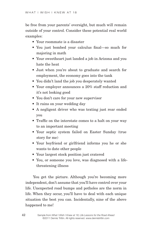be free from your parents' oversight, but much will remain outside of your control. Consider these potential real world examples:

- Your roommate is a disaster
- You just bombed your calculus final—so much for majoring in math
- Your sweetheart just landed a job in Arizona and you hate the heat
- Just when you're about to graduate and search for employment, the economy goes into the tank
- You didn't land the job you desperately wanted
- Your employer announces a 20% staff reduction and it's not looking good
- You don't care for your new supervisor
- It rains on your wedding day
- A negligent driver who was texting just rear ended you
- Traffic on the interstate comes to a halt on your way to an important meeting
- Your septic system failed on Easter Sunday (true story for me)
- Your boyfriend or girlfriend informs you he or she wants to date other people
- Your largest stock position just cratered
- You, or someone you love, was diagnosed with a lifethreatening illness

You get the picture. Although you're becoming more independent, don't assume that you'll have control over your life. Unexpected road bumps and potholes are the norm in life. When they occur, you'll have to deal with each unique situation the best you can. Incidentally, nine of the above happened to me!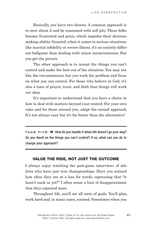Basically, you have two choices. A common approach is to stew about it and be consumed with self pity. These folks become frustrated and panic, which impedes their decisionmaking ability. Granted, when it comes to serious situations like marital infidelity or severe illness, it's an entirely different ballgame than dealing with minor inconveniences. But you get the picture.

The other approach is to accept the things you can't control and make the best out of the situation. You may not like the circumstances, but you work the problem and focus on what you can control. For those who believe in God, it's also a time of prayer, trust, and faith that things will work out okay.

It's important to understand that you have a choice in how to deal with matters beyond your control. For your own sake and for those around you, adopt the second approach. It's not always easy but it's far better than the alternative!

TAKE FIVE:  $\triangleright$  How do you handle it when life doesn't go your way? Do you dwell on the things you can't control? If so, what can you do to change your approach?

#### Value the ride, not just the outcome

I always enjoy watching the post-game interviews of athletes who have just won championships. Have you noticed how often they are at a loss for words, expressing that "it hasn't sunk in yet?" I often sense a hint of disappointment that they expected more.

Throughout life, you'll set all sorts of goals. You'll plan, work hard and, in many cases, succeed. Sometimes when you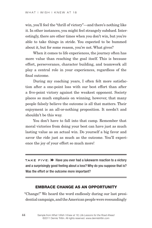win, you'll feel the "thrill of victory"—and there's nothing like it. In other instances, you might feel strangely subdued. Interestingly, there are other times when you don't win, but you're able to take things in stride. You expected to be bummed about it, but for some reason, you're not. What gives?

When it comes to life experiences, the journey often has more value than reaching the goal itself. This is because effort, perseverance, character building, and teamwork all play a central role in your experiences, regardless of the final outcome.

During my coaching years, I often felt more satisfaction after a one-point loss with our best effort than after a five-point victory against the weakest opponent. Society places so much emphasis on winning, however, that many people falsely believe the outcome is all that matters. Their enjoyment is an all-or-nothing proposition. It needn't and shouldn't be this way.

You don't have to fall into that camp. Remember that moral victories from doing your best can have just as much lasting value as an actual win. Do yourself a big favor and savor the ride just as much as the outcome. You'll experience the joy of your effort so much more!

**TAKE FIVE:**  $\rightarrow$  Have you ever had a lukewarm reaction to a victory and a surprisingly good feeling about a loss? Why do you suppose that is? Was the effort or the outcome more important?

#### Embrace change as an opportunity

"Change!" We heard the word endlessly during our last presidential campaign, and the American people were resoundingly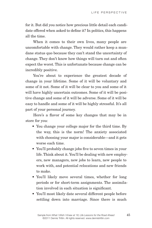for it. But did you notice how precious little detail each candidate offered when asked to define it? In politics, this happens all the time.

When it comes to their own lives, many people are uncomfortable with change. They would rather keep a mundane status quo because they can't stand the uncertainty of change. They don't know how things will turn out and often expect the worst. This is unfortunate because change can be incredibly positive.

You're about to experience the greatest decade of change in your lifetime. Some of it will be voluntary and some of it not. Some of it will be clear to you and some of it will have highly uncertain outcomes. Some of it will be positive change and some of it will be adverse. Some of it will be easy to handle and some of it will be highly stressful. It's all part of your personal journey.

Here's a flavor of some key changes that may be in store for you:

- You change your college major for the third time. By the way, this is the norm! The anxiety associated with choosing your major is considerable—and it gets worse each time.
- You'll probably change jobs five to seven times in your life. Think about it. You'll be dealing with new employers, new managers, new jobs to learn, new people to work with, and potential relocations and new friends to make.
- You'll likely move several times, whether for long periods or for short-term assignments. The assimilation involved in each situation is significant.
- You'll most likely date several different people before settling down into marriage. Since there is much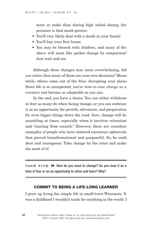more at stake than during high school dating, the pressure is that much greater.

- You'll very likely deal with a death in your family.
- You'll buy your first house.
- You may be blessed with children, and many of the above will seem like pocket change by comparison! Just wait and see.

Although these changes may seem overwhelming, did you notice that many of them are your own decisions? Meanwhile, others come out of the blue, disrupting your plans. Since life is so unexpected, you're wise to *view change as a constant* and become as adaptable as you can.

In the end, you have a choice. You can either withdraw in fear as many do when facing change, or you can embrace it as an opportunity for growth, adventure, and preparation for even bigger things down the road. Sure, change will be unsettling at times, especially when it involves relocation and "starting from scratch." However, there are countless examples of people who have endured enormous upheavals that proved transformational and purposeful. So, be confident and courageous. Take change by the reins and make the most of it!

TAKE FIVE: **>>** How do you react to change? Do you view it as a time of fear or as an opportunity to shine and learn? Why?

#### Commit to being a life-long learner

I grew up living the simple life in small-town Wisconsin. It was a childhood I wouldn't trade for anything in the world. I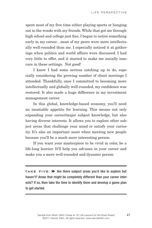spent most of my free time either playing sports or hanging out in the woods with my friends. While that got me through high school and college just fine, I began to notice something early in my career…most of my peers were more intellectually well-rounded than me. I especially noticed it at gatherings when politics and world affairs were discussed. I had very little to offer, and it started to make me socially insecure in these settings. Not good!

I knew I had some serious catching up to do, especially considering the growing number of client meetings I attended. Thankfully, once I committed to becoming more intellectually and globally well-rounded, my confidence was restored. It also made a huge difference in my investment management career.

In this global, knowledge-based economy, you'll need an insatiable appetite for learning. This means not only expanding your career/major subject knowledge, but also having diverse interests. It allows you to explore other subject areas that challenge your mind or satisfy your curiosity. It's also an important asset when meeting new people because you'll be a much more interesting person.

If you want your masterpiece to be vivid in color, be a life-long learner. It'll help you advance in your career and make you a more well-rounded and dynamic person

TAKE FIVE: **>>** Are there subject areas you'd like to explore but haven't? Areas that might be completely different than your career interests? If so, then take the time to identify them and develop a game plan to get started.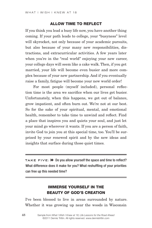#### Allow time to reflect

If you think you lead a busy life now, you have another thing coming. If your path leads to college, your "busyness" level will skyrocket, not only because of your academic pursuits, but also because of your many new responsibilities, distractions, and extracurricular activities. A few years later when you're in the "real world" enjoying your new career, your college days will seem like a cake walk. Then, if you get married, your life will become even busier and more complex because of your new partnership. And if you eventually raise a family, fatigue will become your new world order!

For most people (myself included), personal reflection time is the area we sacrifice when our lives get busier. Unfortunately, when this happens, we get out of balance, grow impatient, and often burn out. We're not at our best. So for the sake of your spiritual, mental, and emotional health, remember to take time to unwind and reflect. Find a place that inspires you and quiets your soul, and just let your mind go wherever it wants. If you are a person of faith, invite God to join you at this special time, too. You'll be surprised by your renewed spirit and by the new ideas and insights that surface during those quiet times.

**TAKE FIVE:**  $\rightarrow$  Do you allow yourself the space and time to reflect? What difference does it make for you? What reshuffling of your priorities can free up this needed time?

#### Immerse yourself in the beauty of God's creation

I've been blessed to live in areas surrounded by nature. Whether it was growing up near the woods in Wisconsin